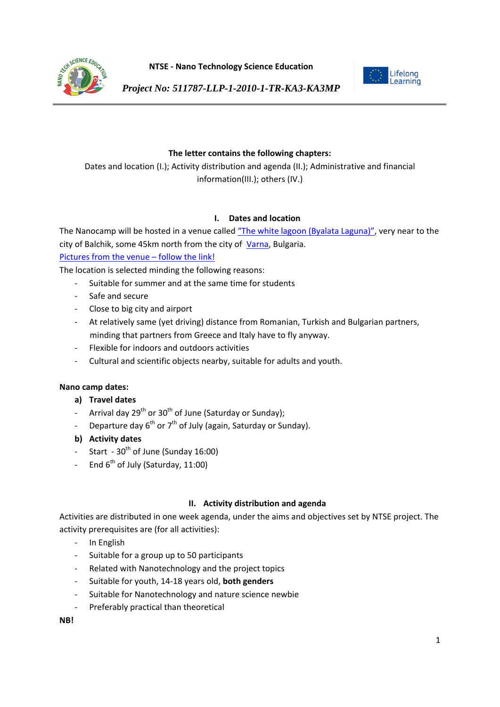

**NTSE - Nano Technology Science Education**



*Project No: 511787-LLP-1-2010-1-TR-KA3-KA3MP*

# **The letter contains the following chapters:**

Dates and location (I.); Activity distribution and agenda (II.); Administrative and financial information(III.); others (IV.)

# **I. Dates and location**

The Nanocamp will be hosted in a venue called ["The white lagoon \(Byalata Laguna\)"](https://maps.google.com/maps?q=%D0%91%D0%B0%D0%BB%D1%87%D0%B8%D0%BA,+%D0%91%D1%8A%D0%BB%D0%B3%D0%B0%D1%80%D0%B8%D1%8F&hl=bg&ie=UTF8&ll=43.415149,28.189201&spn=0.099256,0.154324&sll=43.405733,28.24203&sspn=0.024818,0.038581&oq=%D0%B1%D0%B0%D0%BB%D1%87&doflg), very near to the city of Balchik, some 45km north from the city of [Varna,](http://en.wikipedia.org/wiki/Varna) Bulgaria.

[Pictures from the venue](https://plus.google.com/photos/101963089026618786519/albums/5851499888935144705) – follow the link!

The location is selected minding the following reasons:

- Suitable for summer and at the same time for students
- Safe and secure
- Close to big city and airport
- At relatively same (yet driving) distance from Romanian, Turkish and Bulgarian partners, minding that partners from Greece and Italy have to fly anyway.
- Flexible for indoors and outdoors activities
- Cultural and scientific objects nearby, suitable for adults and youth.

## **Nano camp dates:**

## **a) Travel dates**

- Arrival day  $29^{th}$  or  $30^{th}$  of June (Saturday or Sunday);
- Departure day  $6^{th}$  or  $7^{th}$  of July (again, Saturday or Sunday).
- **b) Activity dates**
- Start  $30<sup>th</sup>$  of June (Sunday 16:00)
- End 6<sup>th</sup> of July (Saturday, 11:00)

## **II. Activity distribution and agenda**

Activities are distributed in one week agenda, under the aims and objectives set by NTSE project. The activity prerequisites are (for all activities):

- In English
- Suitable for a group up to 50 participants
- Related with Nanotechnology and the project topics
- Suitable for youth, 14-18 years old, **both genders**
- Suitable for Nanotechnology and nature science newbie
- Preferably practical than theoretical

**NB!**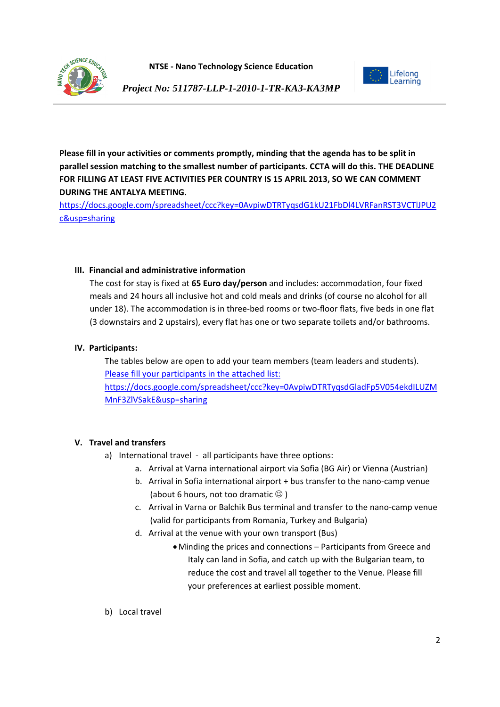



*Project No: 511787-LLP-1-2010-1-TR-KA3-KA3MP*

**Please fill in your activities or comments promptly, minding that the agenda has to be split in parallel session matching to the smallest number of participants. CCTA will do this. THE DEADLINE FOR FILLING AT LEAST FIVE ACTIVITIES PER COUNTRY IS 15 APRIL 2013, SO WE CAN COMMENT DURING THE ANTALYA MEETING.**

[https://docs.google.com/spreadsheet/ccc?key=0AvpiwDTRTyqsdG1kU21FbDl4LVRFanRST3VCTlJPU2](https://docs.google.com/spreadsheet/ccc?key=0AvpiwDTRTyqsdG1kU21FbDl4LVRFanRST3VCTlJPU2c&usp=sharing) [c&usp=sharing](https://docs.google.com/spreadsheet/ccc?key=0AvpiwDTRTyqsdG1kU21FbDl4LVRFanRST3VCTlJPU2c&usp=sharing)

## **III. Financial and administrative information**

The cost for stay is fixed at **65 Euro day/person** and includes: accommodation, four fixed meals and 24 hours all inclusive hot and cold meals and drinks (of course no alcohol for all under 18). The accommodation is in three-bed rooms or two-floor flats, five beds in one flat (3 downstairs and 2 upstairs), every flat has one or two separate toilets and/or bathrooms.

### **IV. Participants:**

The tables below are open to add your team members (team leaders and students). [Please fill your participants in the attached list:](https://docs.google.com/spreadsheet/ccc?key=0AvpiwDTRTyqsdGladFp5V054ekdILUZMMnF3ZlVSakE&usp=sharing) [https://docs.google.com/spreadsheet/ccc?key=0AvpiwDTRTyqsdGladFp5V054ekdILUZM](https://docs.google.com/spreadsheet/ccc?key=0AvpiwDTRTyqsdGladFp5V054ekdILUZMMnF3ZlVSakE&usp=sharing) [MnF3ZlVSakE&usp=sharing](https://docs.google.com/spreadsheet/ccc?key=0AvpiwDTRTyqsdGladFp5V054ekdILUZMMnF3ZlVSakE&usp=sharing)

## **V. Travel and transfers**

- a) International travel all participants have three options:
	- a. Arrival at Varna international airport via Sofia (BG Air) or Vienna (Austrian)
	- b. Arrival in Sofia international airport + bus transfer to the nano-camp venue (about 6 hours, not too dramatic  $\odot$  )
	- c. Arrival in Varna or Balchik Bus terminal and transfer to the nano-camp venue (valid for participants from Romania, Turkey and Bulgaria)
	- d. Arrival at the venue with your own transport (Bus)
		- Minding the prices and connections Participants from Greece and Italy can land in Sofia, and catch up with the Bulgarian team, to reduce the cost and travel all together to the Venue. Please fill your preferences at earliest possible moment.
- b) Local travel